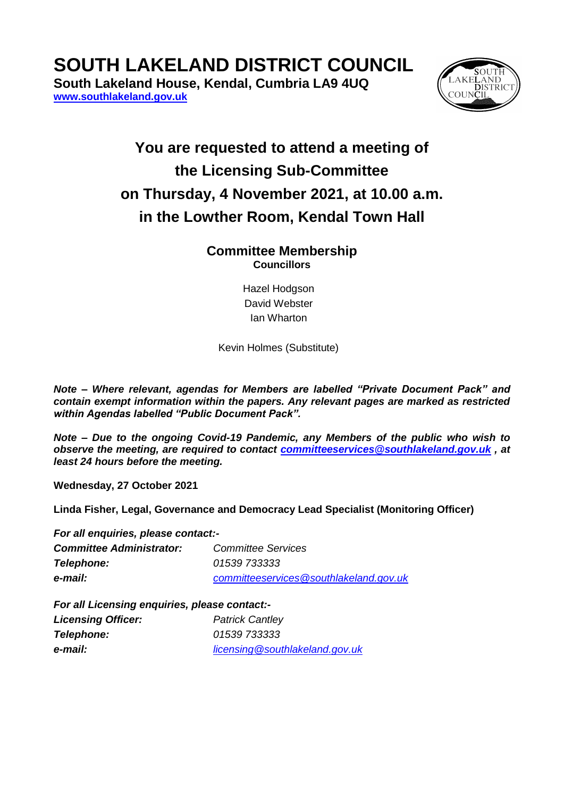**SOUTH LAKELAND DISTRICT COUNCIL**

**South Lakeland House, Kendal, Cumbria LA9 4UQ [www.southlakeland.gov.uk](http://www.southlakeland.gov.uk/)**



## **You are requested to attend a meeting of the Licensing Sub-Committee on Thursday, 4 November 2021, at 10.00 a.m. in the Lowther Room, Kendal Town Hall**

## **Committee Membership Councillors**

Hazel Hodgson David Webster Ian Wharton

Kevin Holmes (Substitute)

*Note – Where relevant, agendas for Members are labelled "Private Document Pack" and contain exempt information within the papers. Any relevant pages are marked as restricted within Agendas labelled "Public Document Pack".*

*Note – Due to the ongoing Covid-19 Pandemic, any Members of the public who wish to observe the meeting, are required to contact [committeeservices@southlakeland.gov.uk](mailto:committeeservices@southlakeland.gov.uk) , at least 24 hours before the meeting.*

**Wednesday, 27 October 2021**

**Linda Fisher, Legal, Governance and Democracy Lead Specialist (Monitoring Officer)**

*For all enquiries, please contact:-*

| <b>Committee Administrator:</b> | <b>Committee Services</b>              |
|---------------------------------|----------------------------------------|
| Telephone:                      | 01539 733333                           |
| e-mail:                         | committeeservices@southlakeland.gov.uk |

*For all Licensing enquiries, please contact:-*

| <b>Licensing Officer:</b> | <b>Patrick Cantley</b>         |
|---------------------------|--------------------------------|
| Telephone:                | 01539 733333                   |
| e-mail:                   | licensing@southlakeland.gov.uk |